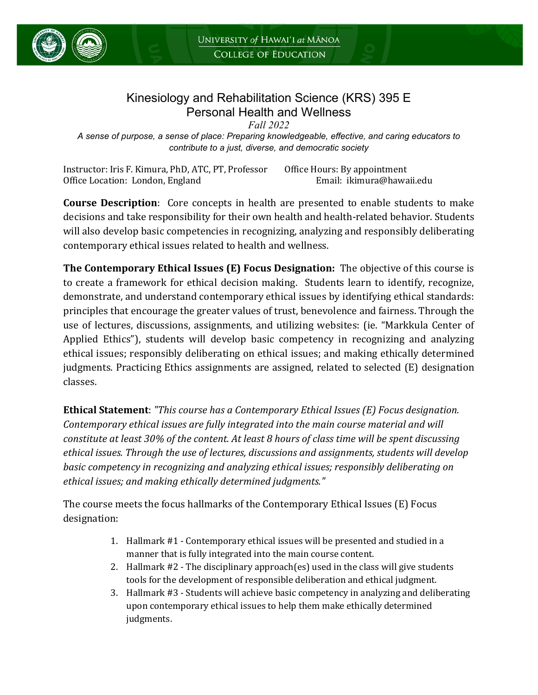

# Kinesiology and Rehabilitation Science (KRS) 395 E Personal Health and Wellness

*Fall 2022 A sense of purpose, a sense of place: Preparing knowledgeable, effective, and caring educators to contribute to a just, diverse, and democratic society*

Instructor: Iris F. Kimura, PhD, ATC, PT, Professor Office Hours: By appointment Office Location: London, England

**Course Description**: Core concepts in health are presented to enable students to make decisions and take responsibility for their own health and health-related behavior. Students will also develop basic competencies in recognizing, analyzing and responsibly deliberating contemporary ethical issues related to health and wellness.

**The Contemporary Ethical Issues (E) Focus Designation:** The objective of this course is to create a framework for ethical decision making. Students learn to identify, recognize, demonstrate, and understand contemporary ethical issues by identifying ethical standards: principles that encourage the greater values of trust, benevolence and fairness. Through the use of lectures, discussions, assignments, and utilizing websites: (ie. "Markkula Center of Applied Ethics"), students will develop basic competency in recognizing and analyzing ethical issues; responsibly deliberating on ethical issues; and making ethically determined judgments. Practicing Ethics assignments are assigned, related to selected (E) designation classes.

**Ethical Statement**: *"This course has a Contemporary Ethical Issues (E) Focus designation. Contemporary ethical issues are fully integrated into the main course material and will constitute at least 30% of the content. At least 8 hours of class time will be spent discussing ethical issues. Through the use of lectures, discussions and assignments, students will develop basic competency in recognizing and analyzing ethical issues; responsibly deliberating on ethical issues; and making ethically determined judgments."*

The course meets the focus hallmarks of the Contemporary Ethical Issues (E) Focus designation:

- 1. Hallmark #1 Contemporary ethical issues will be presented and studied in a manner that is fully integrated into the main course content.
- 2. Hallmark #2 The disciplinary approach(es) used in the class will give students tools for the development of responsible deliberation and ethical judgment.
- 3. Hallmark #3 Students will achieve basic competency in analyzing and deliberating upon contemporary ethical issues to help them make ethically determined judgments.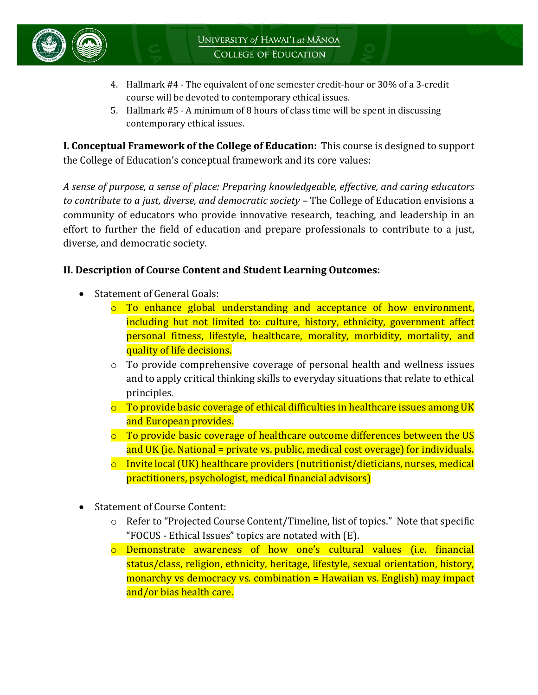

- 4. Hallmark #4 The equivalent of one semester credit-hour or 30% of a 3-credit course will be devoted to contemporary ethical issues.
- 5. Hallmark #5 A minimum of 8 hours of class time will be spent in discussing contemporary ethical issues.

**I. Conceptual Framework of the College of Education:** This course is designed to support the College of Education's conceptual framework and its core values:

*A sense of purpose, a sense of place: Preparing knowledgeable, effective, and caring educators to contribute to a just, diverse, and democratic society –* The College of Education envisions a community of educators who provide innovative research, teaching, and leadership in an effort to further the field of education and prepare professionals to contribute to a just, diverse, and democratic society.

## **II. Description of Course Content and Student Learning Outcomes:**

- Statement of General Goals:
	- o To enhance global understanding and acceptance of how environment, including but not limited to: culture, history, ethnicity, government affect personal fitness, lifestyle, healthcare, morality, morbidity, mortality, and quality of life decisions.
	- o To provide comprehensive coverage of personal health and wellness issues and to apply critical thinking skills to everyday situations that relate to ethical principles.
	- $\circ$  To provide basic coverage of ethical difficulties in healthcare issues among UK and European provides.
	- o To provide basic coverage of healthcare outcome differences between the US and UK (ie. National = private vs. public, medical cost overage) for individuals.
	- $\circ$  Invite local (UK) healthcare providers (nutritionist/dieticians, nurses, medical practitioners, psychologist, medical financial advisors)
- Statement of Course Content:
	- o Refer to "Projected Course Content/Timeline, list of topics." Note that specific "FOCUS - Ethical Issues" topics are notated with (E).
	- o Demonstrate awareness of how one's cultural values (i.e. financial status/class, religion, ethnicity, heritage, lifestyle, sexual orientation, history, monarchy vs democracy vs. combination = Hawaiian vs. English) may impact and/or bias health care.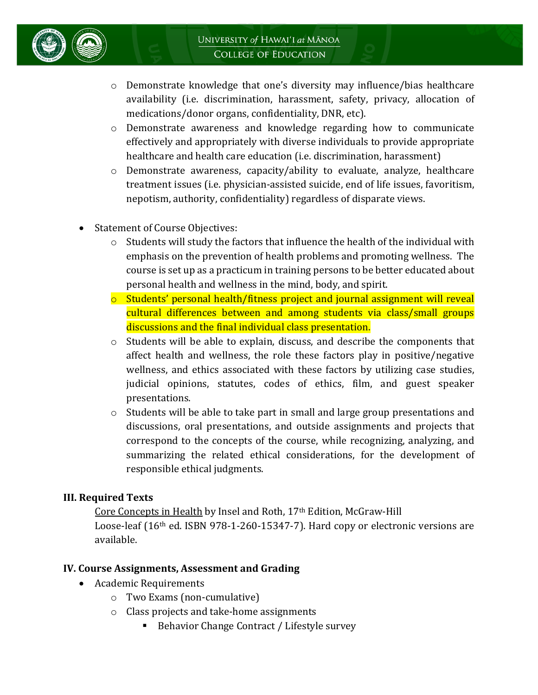

- o Demonstrate knowledge that one's diversity may influence/bias healthcare availability (i.e. discrimination, harassment, safety, privacy, allocation of medications/donor organs, confidentiality, DNR, etc).
- o Demonstrate awareness and knowledge regarding how to communicate effectively and appropriately with diverse individuals to provide appropriate healthcare and health care education (i.e. discrimination, harassment)
- o Demonstrate awareness, capacity/ability to evaluate, analyze, healthcare treatment issues (i.e. physician-assisted suicide, end of life issues, favoritism, nepotism, authority, confidentiality) regardless of disparate views.
- Statement of Course Objectives:
	- o Students will study the factors that influence the health of the individual with emphasis on the prevention of health problems and promoting wellness. The course is set up as a practicum in training persons to be better educated about personal health and wellness in the mind, body, and spirit.
	- $\circ$  Students' personal health/fitness project and journal assignment will reveal cultural differences between and among students via class/small groups discussions and the final individual class presentation.
	- $\circ$  Students will be able to explain, discuss, and describe the components that affect health and wellness, the role these factors play in positive/negative wellness, and ethics associated with these factors by utilizing case studies, judicial opinions, statutes, codes of ethics, film, and guest speaker presentations.
	- $\circ$  Students will be able to take part in small and large group presentations and discussions, oral presentations, and outside assignments and projects that correspond to the concepts of the course, while recognizing, analyzing, and summarizing the related ethical considerations, for the development of responsible ethical judgments.

## **III. Required Texts**

Core Concepts in Health by Insel and Roth, 17th Edition, McGraw-Hill Loose-leaf (16th ed. ISBN 978-1-260-15347-7). Hard copy or electronic versions are available.

#### **IV. Course Assignments, Assessment and Grading**

- Academic Requirements
	- o Two Exams (non-cumulative)
	- o Class projects and take-home assignments
		- Behavior Change Contract / Lifestyle survey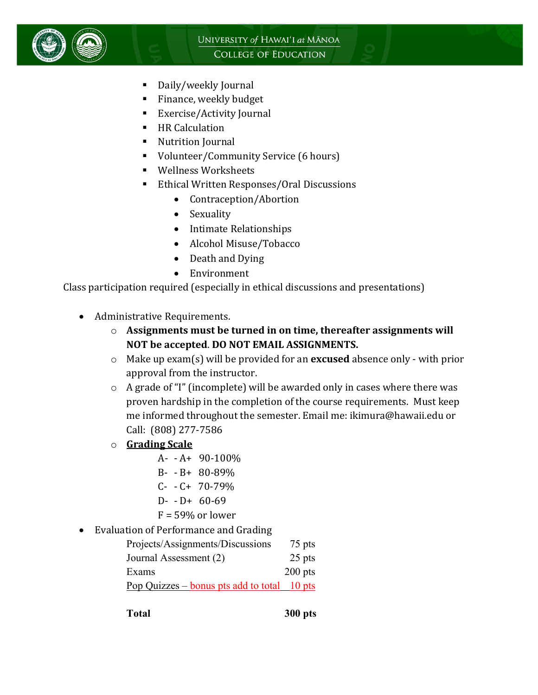

- Daily/weekly Journal
- **Finance, weekly budget**
- Exercise/Activity Journal
- **HR Calculation**
- **Nutrition Journal**
- Volunteer/Community Service (6 hours)
- Wellness Worksheets
- Ethical Written Responses/Oral Discussions
	- Contraception/Abortion
	- Sexuality
	- Intimate Relationships
	- Alcohol Misuse/Tobacco
	- Death and Dying
	- Environment

Class participation required (especially in ethical discussions and presentations)

- Administrative Requirements.
	- o **Assignments must be turned in on time, thereafter assignments will NOT be accepted**. **DO NOT EMAIL ASSIGNMENTS.**
	- o Make up exam(s) will be provided for an **excused** absence only with prior approval from the instructor.
	- o A grade of "I" (incomplete) will be awarded only in cases where there was proven hardship in the completion of the course requirements. Must keep me informed throughout the semester. Email me: ikimura@hawaii.edu or Call: (808) 277-7586
	- o **Grading Scale**
		- $A- -A+ 90-100\%$
		- B- B+ 80-89%
		- $C- C+ 70-79%$
		- $D D + 60-69$
		- $F = 59\%$  or lower
- Evaluation of Performance and Grading

| Projects/Assignments/Discussions            | 75 pts    |
|---------------------------------------------|-----------|
| Journal Assessment (2)                      | 25 pts    |
| Exams                                       | $200$ pts |
| <u>Pop Quizzes – bonus pts add to total</u> | $10$ pts  |

**Total 300 pts**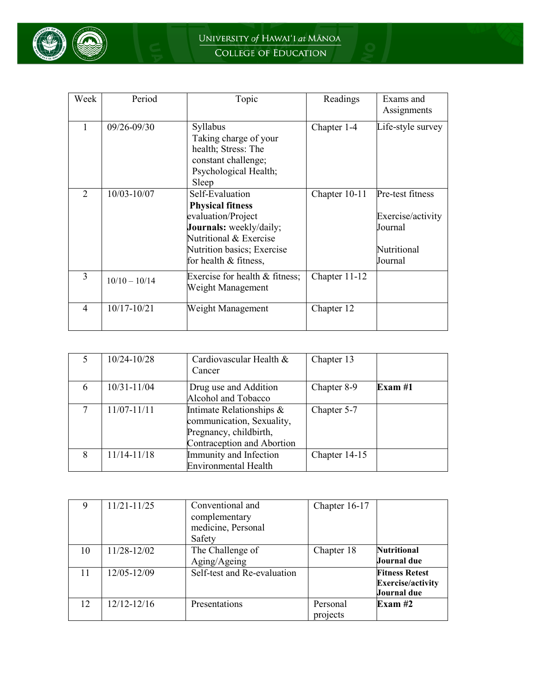

| Week          | Period          | Topic                                                                                                                                                                        | Readings      | Exams and<br>Assignments                                                   |
|---------------|-----------------|------------------------------------------------------------------------------------------------------------------------------------------------------------------------------|---------------|----------------------------------------------------------------------------|
| 1             | 09/26-09/30     | Syllabus<br>Taking charge of your<br>health; Stress: The<br>constant challenge;<br>Psychological Health;<br>Sleep                                                            | Chapter 1-4   | Life-style survey                                                          |
| $\mathcal{L}$ | 10/03-10/07     | Self-Evaluation<br><b>Physical fitness</b><br>evaluation/Project<br>Journals: weekly/daily;<br>Nutritional & Exercise<br>Nutrition basics; Exercise<br>for health & fitness, | Chapter 10-11 | Pre-test fitness<br>Exercise/activity<br>Journal<br>Nutritional<br>Journal |
| 3             | $10/10 - 10/14$ | Exercise for health & fitness;<br>Weight Management                                                                                                                          | Chapter 11-12 |                                                                            |
| 4             | 10/17-10/21     | Weight Management                                                                                                                                                            | Chapter 12    |                                                                            |

|   | 10/24-10/28 | Cardiovascular Health &<br>Cancer                                                                             | Chapter 13    |         |
|---|-------------|---------------------------------------------------------------------------------------------------------------|---------------|---------|
| 6 | 10/31-11/04 | Drug use and Addition<br>Alcohol and Tobacco                                                                  | Chapter 8-9   | Exam #1 |
|   | 11/07-11/11 | Intimate Relationships &<br>communication, Sexuality,<br>Pregnancy, childbirth,<br>Contraception and Abortion | Chapter 5-7   |         |
| 8 | 11/14-11/18 | Immunity and Infection<br><b>Environmental Health</b>                                                         | Chapter 14-15 |         |

|    | 11/21-11/25     | Conventional and            | Chapter 16-17 |                          |
|----|-----------------|-----------------------------|---------------|--------------------------|
|    |                 | complementary               |               |                          |
|    |                 | medicine, Personal          |               |                          |
|    |                 | Safety                      |               |                          |
| 10 | 11/28-12/02     | The Challenge of            | Chapter 18    | <b>Nutritional</b>       |
|    |                 | Aging/Ageing                |               | Journal due              |
| 11 | 12/05-12/09     | Self-test and Re-evaluation |               | <b>Fitness Retest</b>    |
|    |                 |                             |               | <b>Exercise/activity</b> |
|    |                 |                             |               | Journal due              |
| 12 | $12/12 - 12/16$ | Presentations               | Personal      | Exam $#2$                |
|    |                 |                             | projects      |                          |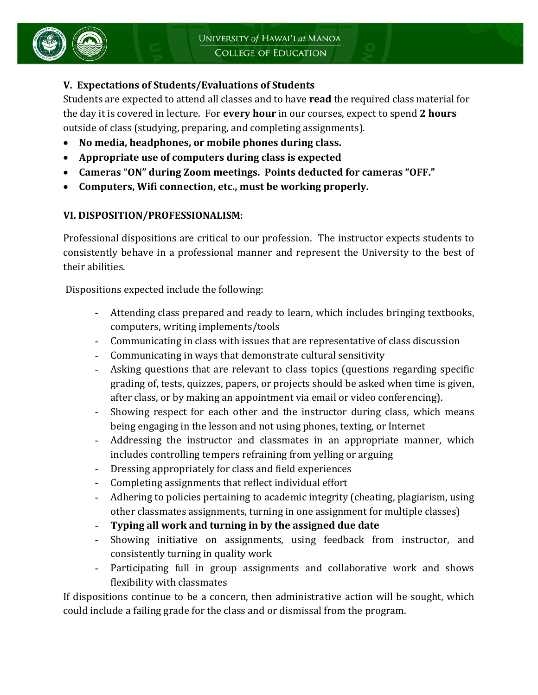## **V. Expectations of Students/Evaluations of Students**

Students are expected to attend all classes and to have **read** the required class material for the day it is covered in lecture. For **every hour** in our courses, expect to spend **2 hours** outside of class (studying, preparing, and completing assignments).

- **No media, headphones, or mobile phones during class.**
- **Appropriate use of computers during class is expected**
- **Cameras "ON" during Zoom meetings. Points deducted for cameras "OFF."**
- **Computers, Wifi connection, etc., must be working properly.**

### **VI. DISPOSITION/PROFESSIONALISM**:

Professional dispositions are critical to our profession. The instructor expects students to consistently behave in a professional manner and represent the University to the best of their abilities.

Dispositions expected include the following:

- Attending class prepared and ready to learn, which includes bringing textbooks, computers, writing implements/tools
- Communicating in class with issues that are representative of class discussion
- Communicating in ways that demonstrate cultural sensitivity
- Asking questions that are relevant to class topics (questions regarding specific grading of, tests, quizzes, papers, or projects should be asked when time is given, after class, or by making an appointment via email or video conferencing).
- Showing respect for each other and the instructor during class, which means being engaging in the lesson and not using phones, texting, or Internet
- Addressing the instructor and classmates in an appropriate manner, which includes controlling tempers refraining from yelling or arguing
- Dressing appropriately for class and field experiences
- Completing assignments that reflect individual effort
- Adhering to policies pertaining to academic integrity (cheating, plagiarism, using other classmates assignments, turning in one assignment for multiple classes)
- **Typing all work and turning in by the assigned due date**
- Showing initiative on assignments, using feedback from instructor, and consistently turning in quality work
- Participating full in group assignments and collaborative work and shows flexibility with classmates

If dispositions continue to be a concern, then administrative action will be sought, which could include a failing grade for the class and or dismissal from the program.